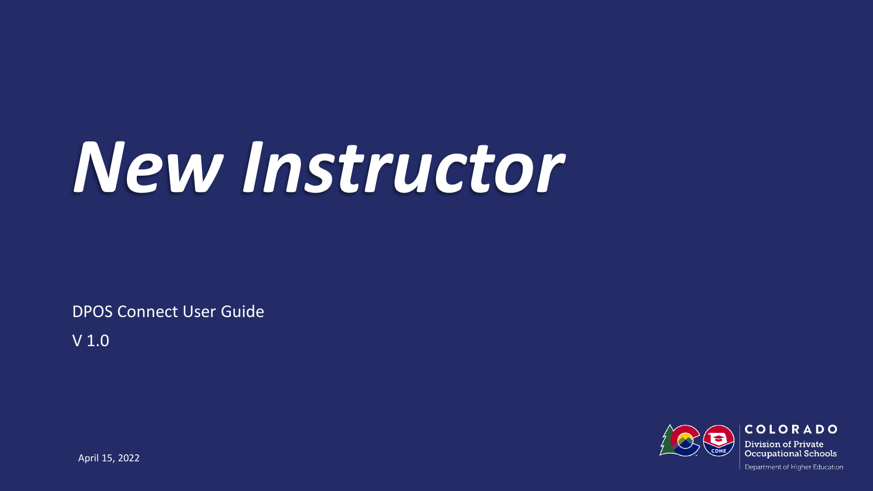# *New Instructor*

DPOS Connect User Guide

V 1.0

Department of Higher Education

**COLORADO Division of Private Occupational Schools** 

April 15, 2022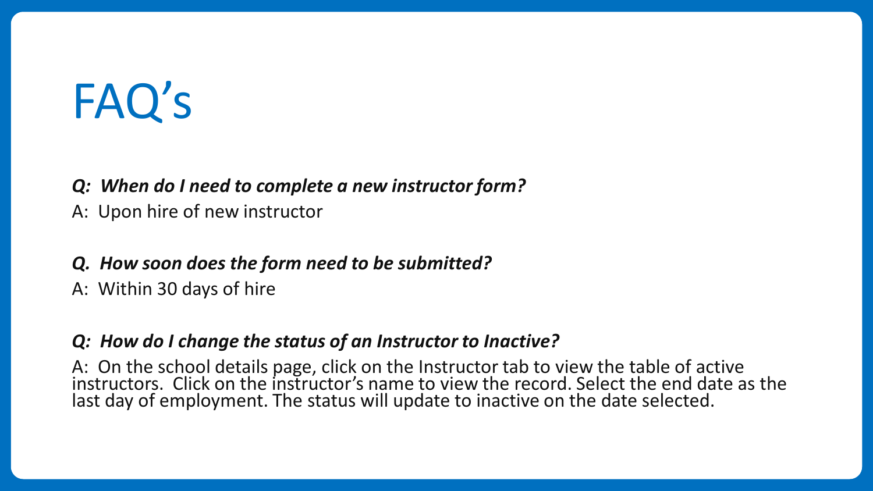# FAQ's

#### *Q: When do I need to complete a new instructor form?*

A: Upon hire of new instructor

#### *Q. How soon does the form need to be submitted?*

A: Within 30 days of hire

#### *Q: How do I change the status of an Instructor to Inactive?*

A: On the school details page, click on the Instructor tab to view the table of active instructors. Click on the instructor's name to view the record. Select the end date as the last day of employment. The status will update to inactive on the date selected.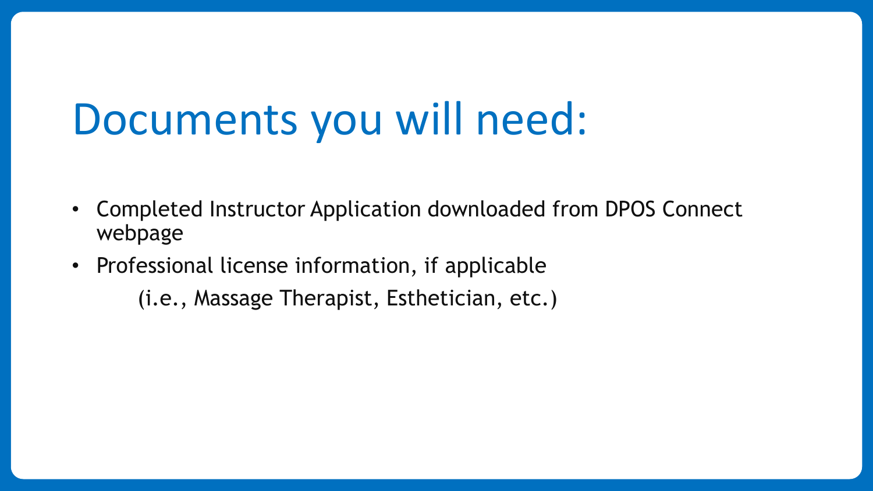# Documents you will need:

- Completed Instructor Application downloaded from DPOS Connect webpage
- Professional license information, if applicable

(i.e., Massage Therapist, Esthetician, etc.)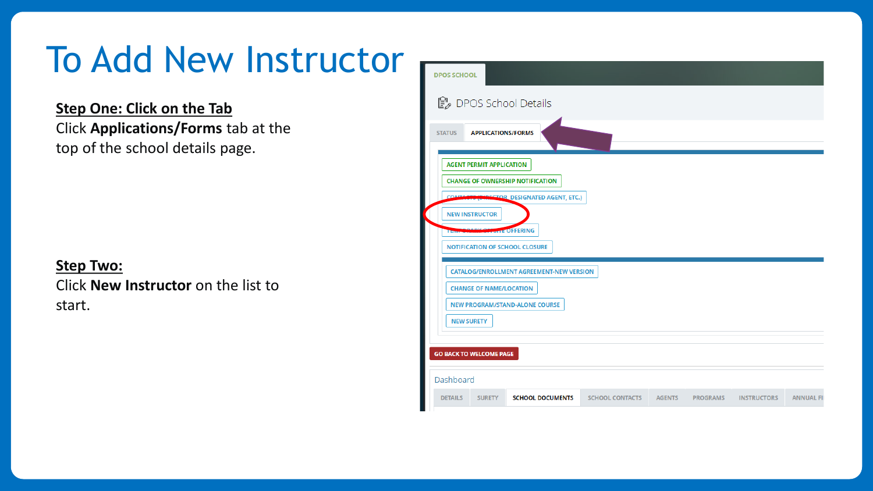# To Add New Instructor

**Step One: Click on the Tab** Click **Applications/Forms** tab at the top of the school details page.

#### **Step Two:**

Click **New Instructor** on the list to start.

| <b>DPOS SCHOOL</b>             |                                                 |                                           |                        |               |                 |                    |                   |  |  |  |  |  |
|--------------------------------|-------------------------------------------------|-------------------------------------------|------------------------|---------------|-----------------|--------------------|-------------------|--|--|--|--|--|
|                                |                                                 | <i>L</i> DPOS School Details              |                        |               |                 |                    |                   |  |  |  |  |  |
| <b>STATUS</b>                  | <b>APPLICATIONS/FORMS</b>                       |                                           |                        |               |                 |                    |                   |  |  |  |  |  |
|                                | <b>AGENT PERMIT APPLICATION</b>                 |                                           |                        |               |                 |                    |                   |  |  |  |  |  |
|                                | <b>CHANGE OF OWNERSHIP NOTIFICATION</b>         |                                           |                        |               |                 |                    |                   |  |  |  |  |  |
| <b>CONTA</b>                   | <b>(BIRECTOR, DESIGNATED AGENT, ETC.)</b>       |                                           |                        |               |                 |                    |                   |  |  |  |  |  |
|                                | <b>NEW INSTRUCTOR</b>                           |                                           |                        |               |                 |                    |                   |  |  |  |  |  |
| <b>Thurs</b>                   |                                                 | <b><i><u><b>DITE OFFERING</b></u></i></b> |                        |               |                 |                    |                   |  |  |  |  |  |
|                                |                                                 | <b>NOTIFICATION OF SCHOOL CLOSURE</b>     |                        |               |                 |                    |                   |  |  |  |  |  |
|                                | <b>CATALOG/ENROLLMENT AGREEMENT-NEW VERSION</b> |                                           |                        |               |                 |                    |                   |  |  |  |  |  |
|                                | <b>CHANGE OF NAME/LOCATION</b>                  |                                           |                        |               |                 |                    |                   |  |  |  |  |  |
|                                | <b>NEW PROGRAM/STAND-ALONE COURSE</b>           |                                           |                        |               |                 |                    |                   |  |  |  |  |  |
|                                | <b>NEW SURETY</b>                               |                                           |                        |               |                 |                    |                   |  |  |  |  |  |
|                                |                                                 |                                           |                        |               |                 |                    |                   |  |  |  |  |  |
| <b>GO BACK TO WELCOME PAGE</b> |                                                 |                                           |                        |               |                 |                    |                   |  |  |  |  |  |
| Dashboard                      |                                                 |                                           |                        |               |                 |                    |                   |  |  |  |  |  |
| <b>DETAILS</b>                 | <b>SURETY</b>                                   | <b>SCHOOL DOCUMENTS</b>                   | <b>SCHOOL CONTACTS</b> | <b>AGENTS</b> | <b>PROGRAMS</b> | <b>INSTRUCTORS</b> | <b>ANNUAL FII</b> |  |  |  |  |  |
|                                |                                                 |                                           |                        |               |                 |                    |                   |  |  |  |  |  |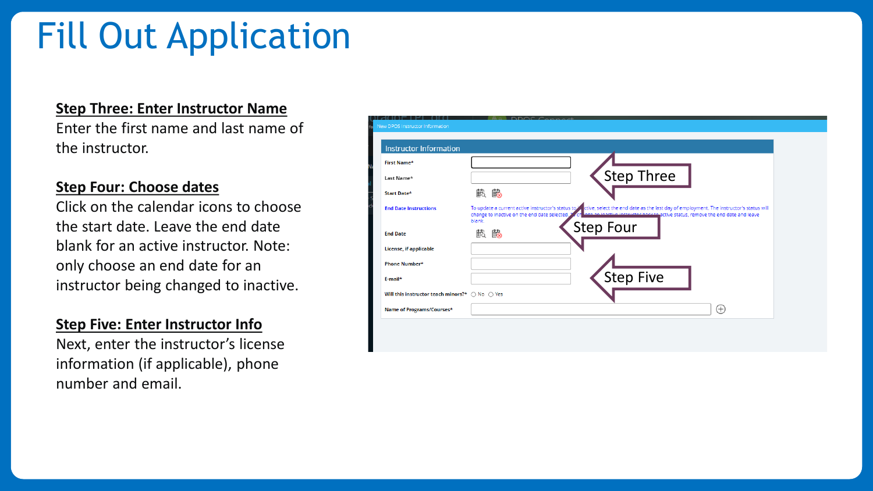# Fill Out Application

#### **Step Three: Enter Instructor Name**

Enter the first name and last name of the instructor.

#### **Step Four: Choose dates**

Click on the calendar icons to choose the start date. Leave the end date blank for an active instructor. Note: only choose an end date for an instructor being changed to inactive.

#### **Step Five: Enter Instructor Info**

Next, enter the instructor's license information (if applicable), phone number and email.

| <b>Instructor Information</b>                                    |                                                        |                                                                                                                                                         |                                                                                 |  |
|------------------------------------------------------------------|--------------------------------------------------------|---------------------------------------------------------------------------------------------------------------------------------------------------------|---------------------------------------------------------------------------------|--|
| <b>First Name*</b>                                               |                                                        |                                                                                                                                                         |                                                                                 |  |
| Last Name*                                                       |                                                        | <b>Step Three</b>                                                                                                                                       |                                                                                 |  |
| Start Date*                                                      | 戲 的                                                    |                                                                                                                                                         |                                                                                 |  |
| <b>End Date Instructions</b>                                     | change to inactive on the end date selected.<br>blank. | To update a current active instructor's status to <sup>3</sup> / ctive, select the end date as the last day of employment. The instructor's status will | nge an inactive instructor hack to active status, remove the end date and leave |  |
| <b>End Date</b>                                                  | 的<br>艶                                                 | <b>Step Four</b>                                                                                                                                        |                                                                                 |  |
| <b>License, if applicable</b>                                    |                                                        |                                                                                                                                                         |                                                                                 |  |
| Phone Number*                                                    |                                                        |                                                                                                                                                         |                                                                                 |  |
| E-mail*                                                          |                                                        | <b>Step Five</b>                                                                                                                                        |                                                                                 |  |
| Will this instructor teach minors?* $\bigcirc$ No $\bigcirc$ Yes |                                                        |                                                                                                                                                         |                                                                                 |  |
| Name of Programs/Courses*                                        |                                                        |                                                                                                                                                         | $^{(+)}$                                                                        |  |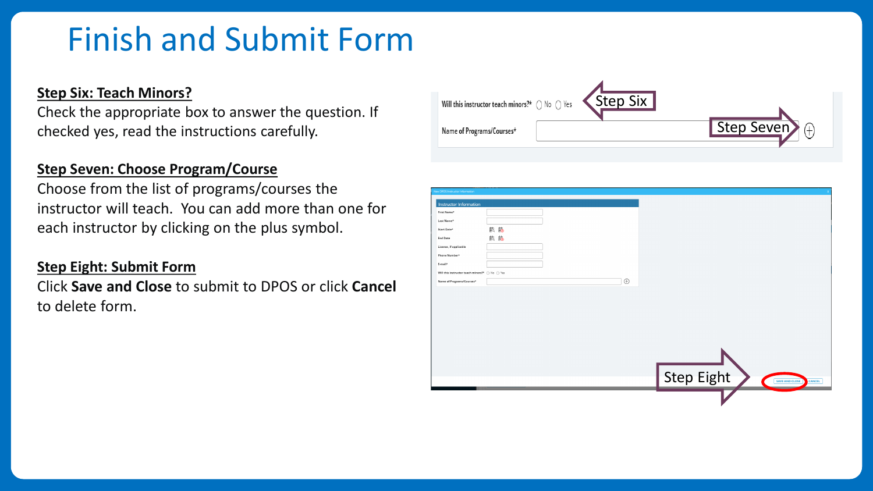### Finish and Submit Form

#### **Step Six: Teach Minors?**

Check the appropriate box to answer the question. If checked yes, read the instructions carefully.

#### **Step Seven: Choose Program/Course**

Choose from the list of programs/courses the instructor will teach. You can add more than one for each instructor by clicking on the plus symbol.

#### **Step Eight: Submit Form**

Click **Save and Close** to submit to DPOS or click **Cancel** to delete form.

| Will this instructor teach minors?* $\bigcirc$ No $\bigcirc$ Yes | <step six<="" th=""><th></th></step> |              |
|------------------------------------------------------------------|--------------------------------------|--------------|
| Name of Programs/Courses*                                        |                                      | Step Seven 4 |

| New DPOS Instructor Information                                  |          |                                                      |
|------------------------------------------------------------------|----------|------------------------------------------------------|
| <b>Instructor Information</b>                                    |          |                                                      |
| First Name*                                                      |          |                                                      |
|                                                                  |          |                                                      |
| Last Name*                                                       |          |                                                      |
| Start Date*                                                      | 戲的       |                                                      |
| <b>End Date</b>                                                  | 戲 跑      |                                                      |
| License, if applicable                                           |          |                                                      |
| Phone Number*                                                    |          |                                                      |
| E-mail*                                                          |          |                                                      |
| Will this instructor teach minors?* $\bigcirc$ No $\bigcirc$ Yes |          |                                                      |
| Name of Programs/Courses*                                        | $\oplus$ |                                                      |
|                                                                  |          |                                                      |
|                                                                  |          |                                                      |
|                                                                  |          |                                                      |
|                                                                  |          |                                                      |
|                                                                  |          |                                                      |
|                                                                  |          |                                                      |
|                                                                  |          |                                                      |
|                                                                  |          |                                                      |
|                                                                  |          |                                                      |
|                                                                  |          |                                                      |
|                                                                  |          |                                                      |
|                                                                  |          |                                                      |
|                                                                  |          |                                                      |
|                                                                  |          |                                                      |
|                                                                  |          | Step Eight<br><b>SAVE AND CLOSE</b><br><b>CANCEL</b> |
|                                                                  |          |                                                      |
|                                                                  |          |                                                      |
|                                                                  |          |                                                      |